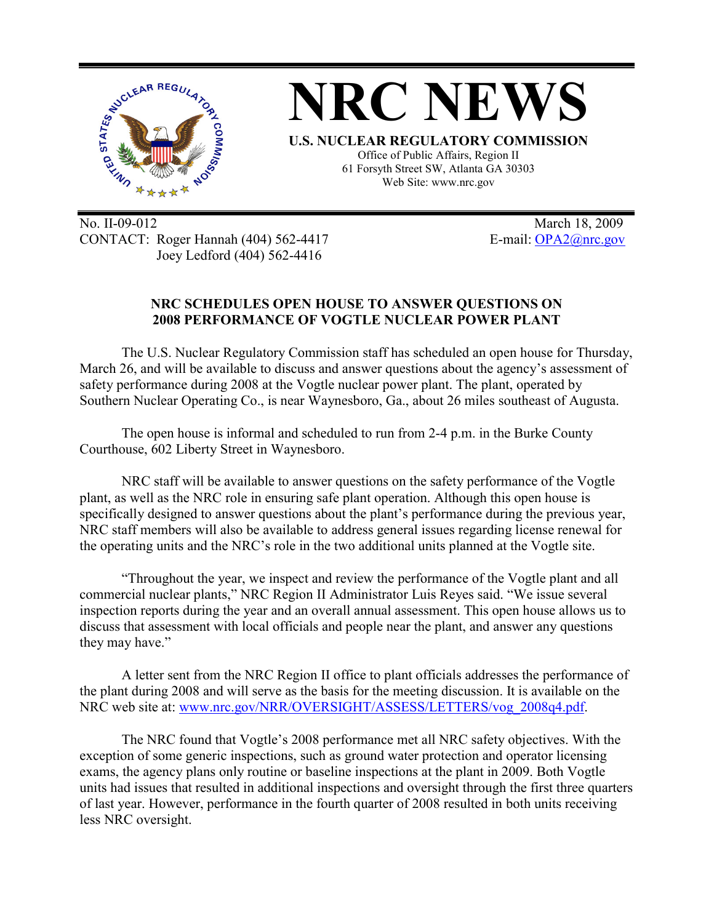

No. II-09-012 March 18, 2009 CONTACT: Roger Hannah (404) 562-4417 E-mail: OPA2@nrc.gov Joey Ledford (404) 562-4416

## **NRC SCHEDULES OPEN HOUSE TO ANSWER QUESTIONS ON 2008 PERFORMANCE OF VOGTLE NUCLEAR POWER PLANT**

The U.S. Nuclear Regulatory Commission staff has scheduled an open house for Thursday, March 26, and will be available to discuss and answer questions about the agency's assessment of safety performance during 2008 at the Vogtle nuclear power plant. The plant, operated by Southern Nuclear Operating Co., is near Waynesboro, Ga., about 26 miles southeast of Augusta.

The open house is informal and scheduled to run from 2-4 p.m. in the Burke County Courthouse, 602 Liberty Street in Waynesboro.

NRC staff will be available to answer questions on the safety performance of the Vogtle plant, as well as the NRC role in ensuring safe plant operation. Although this open house is specifically designed to answer questions about the plant's performance during the previous year, NRC staff members will also be available to address general issues regarding license renewal for the operating units and the NRC's role in the two additional units planned at the Vogtle site.

"Throughout the year, we inspect and review the performance of the Vogtle plant and all commercial nuclear plants," NRC Region II Administrator Luis Reyes said. "We issue several inspection reports during the year and an overall annual assessment. This open house allows us to discuss that assessment with local officials and people near the plant, and answer any questions they may have."

A letter sent from the NRC Region II office to plant officials addresses the performance of the plant during 2008 and will serve as the basis for the meeting discussion. It is available on the NRC web site at: www.nrc.gov/NRR/OVERSIGHT/ASSESS/LETTERS/vog\_2008q4.pdf.

The NRC found that Vogtle's 2008 performance met all NRC safety objectives. With the exception of some generic inspections, such as ground water protection and operator licensing exams, the agency plans only routine or baseline inspections at the plant in 2009. Both Vogtle units had issues that resulted in additional inspections and oversight through the first three quarters of last year. However, performance in the fourth quarter of 2008 resulted in both units receiving less NRC oversight.